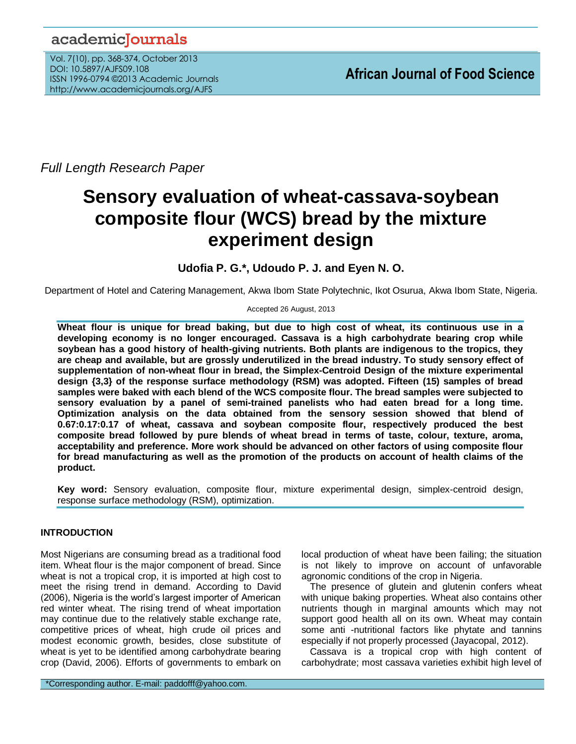# academicJournals

Vol. 7(10), pp. 368-374, October 2013 DOI: 10.5897/AJFS09.108 ISSN 1996-0794 ©2013 Academic Journals http://www.academicjournals.org/AJFS

*Full Length Research Paper*

# **Sensory evaluation of wheat-cassava-soybean composite flour (WCS) bread by the mixture experiment design**

# **Udofia P. G.\*, Udoudo P. J. and Eyen N. O.**

Department of Hotel and Catering Management, Akwa Ibom State Polytechnic, Ikot Osurua, Akwa Ibom State, Nigeria.

#### Accepted 26 August, 2013

**Wheat flour is unique for bread baking, but due to high cost of wheat, its continuous use in a developing economy is no longer encouraged. Cassava is a high carbohydrate bearing crop while soybean has a good history of health-giving nutrients. Both plants are indigenous to the tropics, they are cheap and available, but are grossly underutilized in the bread industry. To study sensory effect of supplementation of non-wheat flour in bread, the Simplex-Centroid Design of the mixture experimental design {3,3} of the response surface methodology (RSM) was adopted. Fifteen (15) samples of bread samples were baked with each blend of the WCS composite flour. The bread samples were subjected to sensory evaluation by a panel of semi-trained panelists who had eaten bread for a long time. Optimization analysis on the data obtained from the sensory session showed that blend of 0.67:0.17:0.17 of wheat, cassava and soybean composite flour, respectively produced the best composite bread followed by pure blends of wheat bread in terms of taste, colour, texture, aroma, acceptability and preference. More work should be advanced on other factors of using composite flour for bread manufacturing as well as the promotion of the products on account of health claims of the product.**

**Key word:** Sensory evaluation, composite flour, mixture experimental design, simplex-centroid design, response surface methodology (RSM), optimization.

# **INTRODUCTION**

Most Nigerians are consuming bread as a traditional food item. Wheat flour is the major component of bread. Since wheat is not a tropical crop, it is imported at high cost to meet the rising trend in demand. According to David (2006), Nigeria is the world's largest importer of American red winter wheat. The rising trend of wheat importation may continue due to the relatively stable exchange rate, competitive prices of wheat, high crude oil prices and modest economic growth, besides, close substitute of wheat is yet to be identified among carbohydrate bearing crop (David, 2006). Efforts of governments to embark on

local production of wheat have been failing; the situation is not likely to improve on account of unfavorable agronomic conditions of the crop in Nigeria.

The presence of glutein and glutenin confers wheat with unique baking properties. Wheat also contains other nutrients though in marginal amounts which may not support good health all on its own. Wheat may contain some anti -nutritional factors like phytate and tannins especially if not properly processed (Jayacopal, 2012).

Cassava is a tropical crop with high content of carbohydrate; most cassava varieties exhibit high level of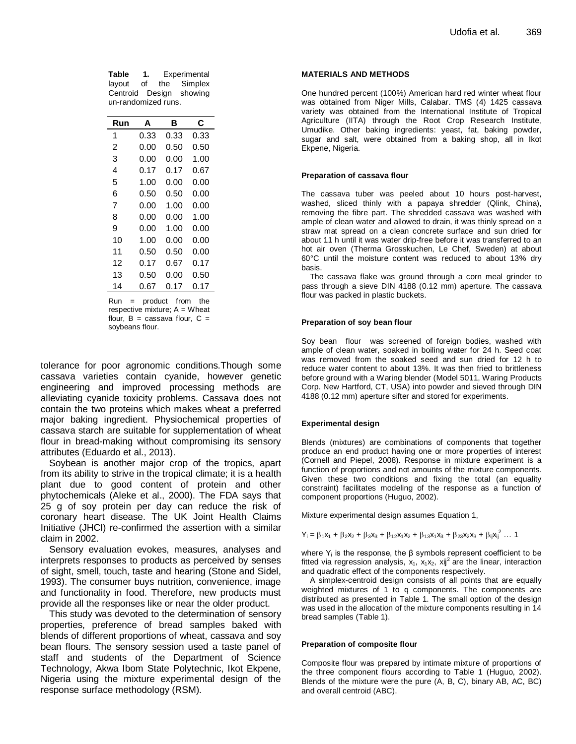**Table 1.** Experimental layout of the Simplex Centroid Design showing un-randomized runs.

| Run | A    | в    | С    |
|-----|------|------|------|
| 1   | 0.33 | 0.33 | 0.33 |
| 2   | 0.00 | 0.50 | 0.50 |
| 3   | 0.00 | 0.00 | 1.00 |
| 4   | 0.17 | 0.17 | 0.67 |
| 5   | 1.00 | 0.00 | 0.00 |
| 6   | 0.50 | 0.50 | 0.00 |
| 7   | 0.00 | 1.00 | 0.00 |
| 8   | 0.00 | 0.00 | 1.00 |
| 9   | 0.00 | 1.00 | 0.00 |
| 10  | 1.00 | 0.00 | 0.00 |
| 11  | 0.50 | 0.50 | 0.00 |
| 12  | 0.17 | 0.67 | 0.17 |
| 13  | 0.50 | 0.00 | 0.50 |
| 14  | 0.67 | 0.17 | 0.17 |

Run = product from the respective mixture;  $A = W$ heat flour,  $B =$  cassava flour,  $C =$ soybeans flour.

tolerance for poor agronomic conditions.Though some cassava varieties contain cyanide, however genetic engineering and improved processing methods are alleviating cyanide toxicity problems. Cassava does not contain the two proteins which makes wheat a preferred major baking ingredient. Physiochemical properties of cassava starch are suitable for supplementation of wheat flour in bread-making without compromising its sensory attributes (Eduardo et al., 2013).

Soybean is another major crop of the tropics, apart from its ability to strive in the tropical climate; it is a health plant due to good content of protein and other phytochemicals (Aleke et al., 2000). The FDA says that 25 g of soy protein per day can reduce the risk of coronary heart disease. The UK Joint Health Claims Initiative (JHCI) re-confirmed the assertion with a similar claim in 2002.

Sensory evaluation evokes, measures, analyses and interprets responses to products as perceived by senses of sight, smell, touch, taste and hearing (Stone and Sidel, 1993). The consumer buys nutrition, convenience, image and functionality in food. Therefore, new products must provide all the responses like or near the older product.

This study was devoted to the determination of sensory properties, preference of bread samples baked with blends of different proportions of wheat, cassava and soy bean flours. The sensory session used a taste panel of staff and students of the Department of Science Technology, Akwa Ibom State Polytechnic, Ikot Ekpene, Nigeria using the mixture experimental design of the response surface methodology (RSM).

#### **MATERIALS AND METHODS**

One hundred percent (100%) American hard red winter wheat flour was obtained from Niger Mills, Calabar. TMS (4) 1425 cassava variety was obtained from the International Institute of Tropical Agriculture (IITA) through the Root Crop Research Institute, Umudike. Other baking ingredients: yeast, fat, baking powder, sugar and salt, were obtained from a baking shop, all in Ikot Ekpene, Nigeria.

#### **Preparation of cassava flour**

The cassava tuber was peeled about 10 hours post-harvest, washed, sliced thinly with a papaya shredder (Qlink, China), removing the fibre part. The shredded cassava was washed with ample of clean water and allowed to drain, it was thinly spread on a straw mat spread on a clean concrete surface and sun dried for about 11 h until it was water drip-free before it was transferred to an hot air oven (Therma Grosskuchen, Le Chef, Sweden) at about 60°C until the moisture content was reduced to about 13% dry basis.

The cassava flake was ground through a corn meal grinder to pass through a sieve DIN 4188 (0.12 mm) aperture. The cassava flour was packed in plastic buckets.

#### **Preparation of soy bean flour**

Soy bean flour was screened of foreign bodies, washed with ample of clean water, soaked in boiling water for 24 h. Seed coat was removed from the soaked seed and sun dried for 12 h to reduce water content to about 13%. It was then fried to brittleness before ground with a Waring blender (Model 5011, Waring Products Corp. New Hartford, CT, USA) into powder and sieved through DIN 4188 (0.12 mm) aperture sifter and stored for experiments.

#### **Experimental design**

Blends (mixtures) are combinations of components that together produce an end product having one or more properties of interest (Cornell and Piepel, 2008). Response in mixture experiment is a function of proportions and not amounts of the mixture components. Given these two conditions and fixing the total (an equality constraint) facilitates modeling of the response as a function of component proportions (Huguo, 2002).

Mixture experimental design assumes Equation 1,

 $Y_i = \beta_1 X_1 + \beta_2 X_2 + \beta_3 X_3 + \beta_1 2 X_1 X_2 + \beta_1 3 X_1 X_3 + \beta_2 3 X_2 X_3 + \beta_1 X_1 X_2$ ... 1

where  $Y_i$  is the response, the  $\beta$  symbols represent coefficient to be fitted via regression analysis,  $x_1$ ,  $x_1x_2$ ,  $x_{ij}^2$  are the linear, interaction and quadratic effect of the components respectively.

A simplex-centroid design consists of all points that are equally weighted mixtures of 1 to q components. The components are distributed as presented in Table 1. The small option of the design was used in the allocation of the mixture components resulting in 14 bread samples (Table 1).

#### **Preparation of composite flour**

Composite flour was prepared by intimate mixture of proportions of the three component flours according to Table 1 (Huguo, 2002). Blends of the mixture were the pure (A, B, C), binary AB, AC, BC) and overall centroid (ABC).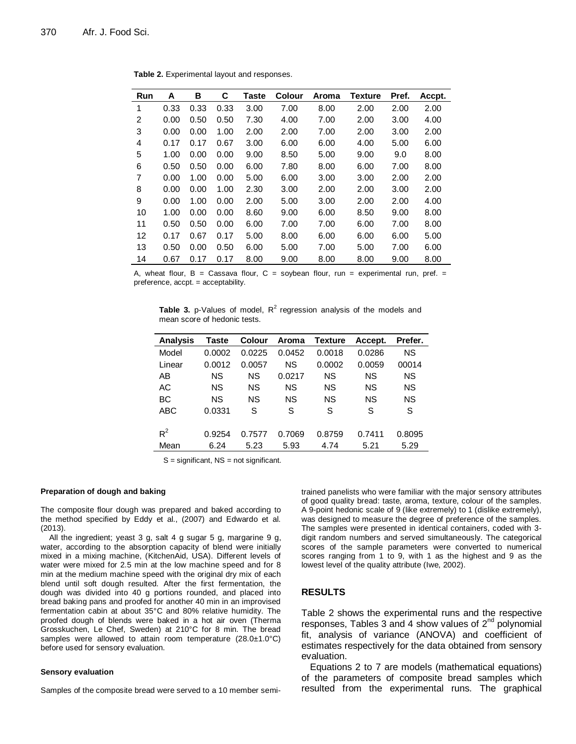| Run | A    | в    | С    | Taste | <b>Colour</b> | Aroma | Texture | Pref. | Accpt. |
|-----|------|------|------|-------|---------------|-------|---------|-------|--------|
| 1   | 0.33 | 0.33 | 0.33 | 3.00  | 7.00          | 8.00  | 2.00    | 2.00  | 2.00   |
| 2   | 0.00 | 0.50 | 0.50 | 7.30  | 4.00          | 7.00  | 2.00    | 3.00  | 4.00   |
| 3   | 0.00 | 0.00 | 1.00 | 2.00  | 2.00          | 7.00  | 2.00    | 3.00  | 2.00   |
| 4   | 0.17 | 0.17 | 0.67 | 3.00  | 6.00          | 6.00  | 4.00    | 5.00  | 6.00   |
| 5   | 1.00 | 0.00 | 0.00 | 9.00  | 8.50          | 5.00  | 9.00    | 9.0   | 8.00   |
| 6   | 0.50 | 0.50 | 0.00 | 6.00  | 7.80          | 8.00  | 6.00    | 7.00  | 8.00   |
| 7   | 0.00 | 1.00 | 0.00 | 5.00  | 6.00          | 3.00  | 3.00    | 2.00  | 2.00   |
| 8   | 0.00 | 0.00 | 1.00 | 2.30  | 3.00          | 2.00  | 2.00    | 3.00  | 2.00   |
| 9   | 0.00 | 1.00 | 0.00 | 2.00  | 5.00          | 3.00  | 2.00    | 2.00  | 4.00   |
| 10  | 1.00 | 0.00 | 0.00 | 8.60  | 9.00          | 6.00  | 8.50    | 9.00  | 8.00   |
| 11  | 0.50 | 0.50 | 0.00 | 6.00  | 7.00          | 7.00  | 6.00    | 7.00  | 8.00   |
| 12  | 0.17 | 0.67 | 0.17 | 5.00  | 8.00          | 6.00  | 6.00    | 6.00  | 5.00   |
| 13  | 0.50 | 0.00 | 0.50 | 6.00  | 5.00          | 7.00  | 5.00    | 7.00  | 6.00   |
| 14  | 0.67 | 0.17 | 0.17 | 8.00  | 9.00          | 8.00  | 8.00    | 9.00  | 8.00   |

A, wheat flour,  $B = C$ assava flour,  $C =$  soybean flour, run = experimental run, pref. = preference, accpt. = acceptability.

**Table 3.** p-Values of model,  $R^2$  regression analysis of the models and mean score of hedonic tests.

| <b>Analysis</b> | Taste  | <b>Colour</b> | Aroma     | <b>Texture</b> | Accept. | Prefer.   |
|-----------------|--------|---------------|-----------|----------------|---------|-----------|
| Model           | 0.0002 | 0.0225        | 0.0452    | 0.0018         | 0.0286  | ΝS        |
| Linear          | 0.0012 | 0.0057        | <b>NS</b> | 0.0002         | 0.0059  | 00014     |
| AB              | ΝS     | <b>NS</b>     | 0.0217    | NS.            | ΝS      | <b>NS</b> |
| АC              | ΝS     | <b>NS</b>     | <b>NS</b> | NS.            | ΝS      | ΝS        |
| ВC              | ΝS     | <b>NS</b>     | <b>NS</b> | <b>NS</b>      | ΝS      | <b>NS</b> |
| <b>ABC</b>      | 0.0331 | S             | S         | S              | S       | S         |
|                 |        |               |           |                |         |           |
| $R^2$           | 0.9254 | 0.7577        | 0.7069    | 0.8759         | 0.7411  | 0.8095    |
| Mean            | 6.24   | 5.23          | 5.93      | 4.74           | 5.21    | 5.29      |

 $S =$  significant,  $NS =$  not significant.

#### **Preparation of dough and baking**

The composite flour dough was prepared and baked according to the method specified by Eddy et al., (2007) and Edwardo et al. (2013).

All the ingredient; yeast 3 g, salt 4 g sugar 5 g, margarine 9 g, water, according to the absorption capacity of blend were initially mixed in a mixing machine, (KitchenAid, USA). Different levels of water were mixed for 2.5 min at the low machine speed and for 8 min at the medium machine speed with the original dry mix of each blend until soft dough resulted. After the first fermentation, the dough was divided into 40 g portions rounded, and placed into bread baking pans and proofed for another 40 min in an improvised fermentation cabin at about 35°C and 80% relative humidity. The proofed dough of blends were baked in a hot air oven (Therma Grosskuchen, Le Chef, Sweden) at 210°C for 8 min. The bread samples were allowed to attain room temperature (28.0±1.0°C) before used for sensory evaluation.

#### **Sensory evaluation**

Samples of the composite bread were served to a 10 member semi-

trained panelists who were familiar with the major sensory attributes of good quality bread: taste, aroma, texture, colour of the samples. A 9-point hedonic scale of 9 (like extremely) to 1 (dislike extremely), was designed to measure the degree of preference of the samples. The samples were presented in identical containers, coded with 3 digit random numbers and served simultaneously. The categorical scores of the sample parameters were converted to numerical scores ranging from 1 to 9, with 1 as the highest and 9 as the lowest level of the quality attribute (Iwe, 2002).

#### **RESULTS**

Table 2 shows the experimental runs and the respective responses, Tables 3 and 4 show values of  $2^{nd}$  polynomial fit, analysis of variance (ANOVA) and coefficient of estimates respectively for the data obtained from sensory evaluation.

Equations 2 to 7 are models (mathematical equations) of the parameters of composite bread samples which resulted from the experimental runs. The graphical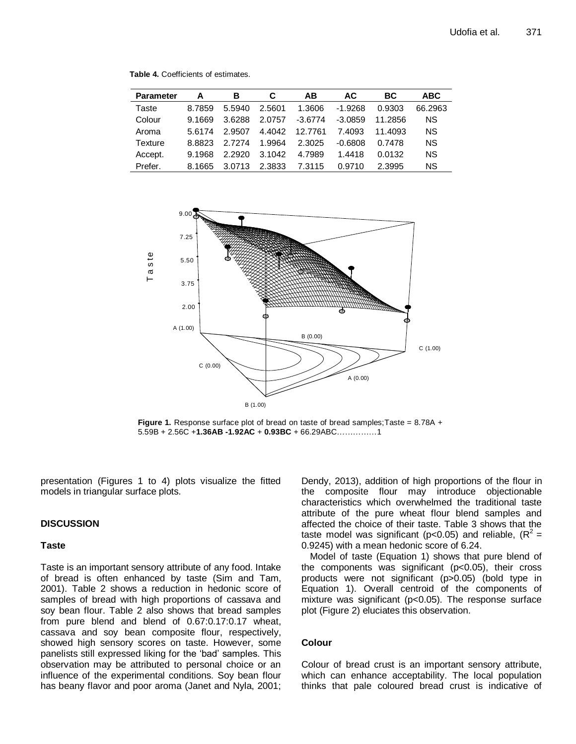| <b>Parameter</b> | А      | в      | C      | AВ        | AC.       | <b>BC</b> | <b>ABC</b> |
|------------------|--------|--------|--------|-----------|-----------|-----------|------------|
| Taste            | 8.7859 | 5.5940 | 2.5601 | 1.3606    | $-1.9268$ | 0.9303    | 66.2963    |
| Colour           | 9.1669 | 3.6288 | 2.0757 | $-3.6774$ | $-3.0859$ | 11.2856   | ΝS         |
| Aroma            | 56174  | 2.9507 | 4.4042 | 12.7761   | 7.4093    | 11.4093   | ΝS         |
| Texture          | 8.8823 | 2.7274 | 1.9964 | 2.3025    | $-0.6808$ | 0.7478    | ΝS         |
| Accept.          | 9.1968 | 2.2920 | 3.1042 | 4.7989    | 1.4418    | 0.0132    | ΝS         |
| Prefer.          | 8.1665 | 3.0713 | 2.3833 | 7.3115    | 0.9710    | 2.3995    | ΝS         |

**Table 4.** Coefficients of estimates.



**Figure 1.** Response surface plot of bread on taste of bread samples;Taste = 8.78A + 5.59B + 2.56C +**1.36AB -1.92AC** + **0.93BC** + 66.29ABC……………1

presentation (Figures 1 to 4) plots visualize the fitted models in triangular surface plots.

# **DISCUSSION**

#### **Taste**

Taste is an important sensory attribute of any food. Intake of bread is often enhanced by taste (Sim and Tam, 2001). Table 2 shows a reduction in hedonic score of samples of bread with high proportions of cassava and soy bean flour. Table 2 also shows that bread samples from pure blend and blend of 0.67:0.17:0.17 wheat, cassava and soy bean composite flour, respectively, showed high sensory scores on taste. However, some panelists still expressed liking for the 'bad' samples. This observation may be attributed to personal choice or an influence of the experimental conditions. Soy bean flour has beany flavor and poor aroma (Janet and Nyla, 2001; Dendy, 2013), addition of high proportions of the flour in the composite flour may introduce objectionable characteristics which overwhelmed the traditional taste attribute of the pure wheat flour blend samples and affected the choice of their taste. Table 3 shows that the taste model was significant (p<0.05) and reliable, ( $R^2 =$ 0.9245) with a mean hedonic score of 6.24.

Model of taste (Equation 1) shows that pure blend of the components was significant (p<0.05), their cross products were not significant (p>0.05) (bold type in Equation 1). Overall centroid of the components of mixture was significant (p<0.05). The response surface plot (Figure 2) eluciates this observation.

# **Colour**

Colour of bread crust is an important sensory attribute, which can enhance acceptability. The local population thinks that pale coloured bread crust is indicative of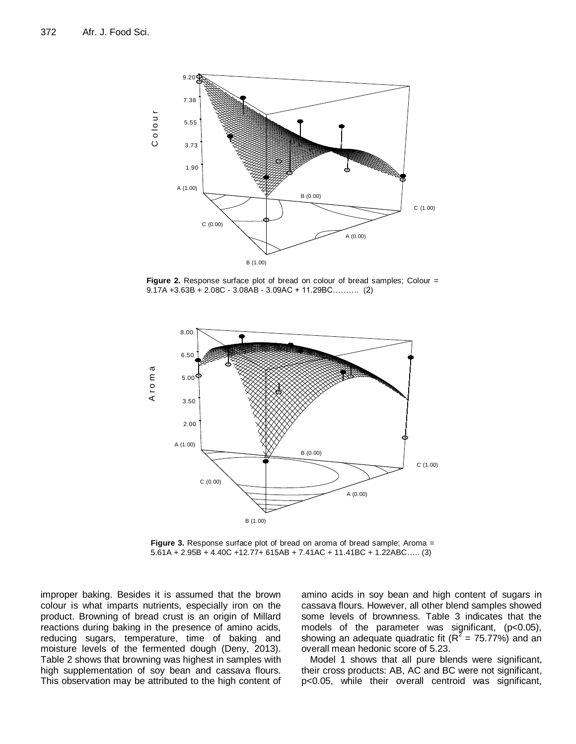

**Figure 2.** Response surface plot of bread on colour of bread samples; Colour = 9.17A +3.63B + 2.08C - 3.08AB - 3.09AC + 11.29BC………. (2)



**Figure 3.** Response surface plot of bread on aroma of bread sample; Aroma = 5.61A + 2.95B + 4.40C +12.77+ 615AB + 7.41AC + 11.41BC + 1.22ABC….. (3)

improper baking. Besides it is assumed that the brown colour is what imparts nutrients, especially iron on the product. Browning of bread crust is an origin of Millard reactions during baking in the presence of amino acids, reducing sugars, temperature, time of baking and moisture levels of the fermented dough (Deny, 2013). Table 2 shows that browning was highest in samples with high supplementation of soy bean and cassava flours. This observation may be attributed to the high content of amino acids in soy bean and high content of sugars in cassava flours. However, all other blend samples showed some levels of brownness. Table 3 indicates that the models of the parameter was significant, (p<0.05), showing an adequate quadratic fit ( $R^2$  = 75.77%) and an overall mean hedonic score of 5.23.

Model 1 shows that all pure blends were significant, their cross products: AB, AC and BC were not significant, p<0.05, while their overall centroid was significant,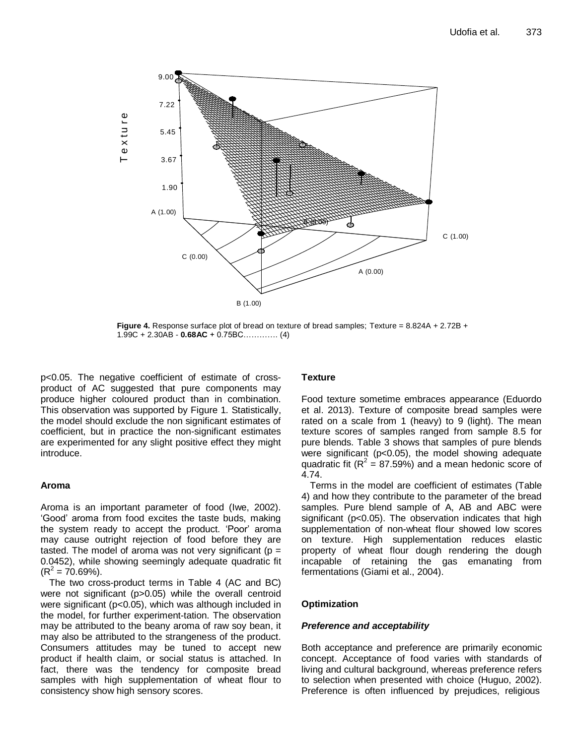

**Figure 4.** Response surface plot of bread on texture of bread samples; Texture = 8.824A + 2.72B + 1.99C + 2.30AB - **0.68AC** + 0.75BC…………. (4)

p<0.05. The negative coefficient of estimate of crossproduct of AC suggested that pure components may produce higher coloured product than in combination. This observation was supported by Figure 1. Statistically, the model should exclude the non significant estimates of coefficient, but in practice the non-significant estimates are experimented for any slight positive effect they might introduce.

# **Aroma**

Aroma is an important parameter of food (Iwe, 2002). 'Good' aroma from food excites the taste buds, making the system ready to accept the product. 'Poor' aroma may cause outright rejection of food before they are tasted. The model of aroma was not very significant ( $p =$ 0.0452), while showing seemingly adequate quadratic fit  $(R^2 = 70.69\%)$ .

The two cross-product terms in Table 4 (AC and BC) were not significant (p>0.05) while the overall centroid were significant (p<0.05), which was although included in the model, for further experiment-tation. The observation may be attributed to the beany aroma of raw soy bean, it may also be attributed to the strangeness of the product. Consumers attitudes may be tuned to accept new product if health claim, or social status is attached. In fact, there was the tendency for composite bread samples with high supplementation of wheat flour to consistency show high sensory scores.

# **Texture**

Food texture sometime embraces appearance (Eduordo et al. 2013). Texture of composite bread samples were rated on a scale from 1 (heavy) to 9 (light). The mean texture scores of samples ranged from sample 8.5 for pure blends. Table 3 shows that samples of pure blends were significant (p<0.05), the model showing adequate quadratic fit ( $R^2 = 87.59\%)$  and a mean hedonic score of 4.74.

Terms in the model are coefficient of estimates (Table 4) and how they contribute to the parameter of the bread samples. Pure blend sample of A, AB and ABC were significant (p<0.05). The observation indicates that high supplementation of non-wheat flour showed low scores on texture. High supplementation reduces elastic property of wheat flour dough rendering the dough incapable of retaining the gas emanating from fermentations (Giami et al., 2004).

# **Optimization**

# *Preference and acceptability*

Both acceptance and preference are primarily economic concept. Acceptance of food varies with standards of living and cultural background, whereas preference refers to selection when presented with choice (Huguo, 2002). Preference is often influenced by prejudices, religious